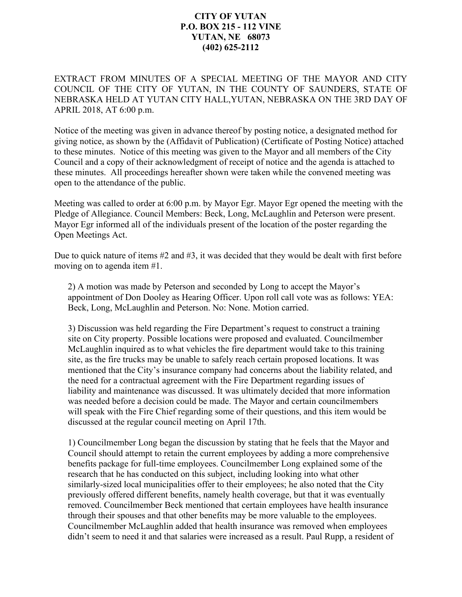## **CITY OF YUTAN P.O. BOX 215 - 112 VINE YUTAN, NE 68073 (402) 625-2112**

EXTRACT FROM MINUTES OF A SPECIAL MEETING OF THE MAYOR AND CITY COUNCIL OF THE CITY OF YUTAN, IN THE COUNTY OF SAUNDERS, STATE OF NEBRASKA HELD AT YUTAN CITY HALL,YUTAN, NEBRASKA ON THE 3RD DAY OF APRIL 2018, AT 6:00 p.m.

Notice of the meeting was given in advance thereof by posting notice, a designated method for giving notice, as shown by the (Affidavit of Publication) (Certificate of Posting Notice) attached to these minutes. Notice of this meeting was given to the Mayor and all members of the City Council and a copy of their acknowledgment of receipt of notice and the agenda is attached to these minutes. All proceedings hereafter shown were taken while the convened meeting was open to the attendance of the public.

Meeting was called to order at 6:00 p.m. by Mayor Egr. Mayor Egr opened the meeting with the Pledge of Allegiance. Council Members: Beck, Long, McLaughlin and Peterson were present. Mayor Egr informed all of the individuals present of the location of the poster regarding the Open Meetings Act.

Due to quick nature of items #2 and #3, it was decided that they would be dealt with first before moving on to agenda item #1.

2) A motion was made by Peterson and seconded by Long to accept the Mayor's appointment of Don Dooley as Hearing Officer. Upon roll call vote was as follows: YEA: Beck, Long, McLaughlin and Peterson. No: None. Motion carried.

3) Discussion was held regarding the Fire Department's request to construct a training site on City property. Possible locations were proposed and evaluated. Councilmember McLaughlin inquired as to what vehicles the fire department would take to this training site, as the fire trucks may be unable to safely reach certain proposed locations. It was mentioned that the City's insurance company had concerns about the liability related, and the need for a contractual agreement with the Fire Department regarding issues of liability and maintenance was discussed. It was ultimately decided that more information was needed before a decision could be made. The Mayor and certain councilmembers will speak with the Fire Chief regarding some of their questions, and this item would be discussed at the regular council meeting on April 17th.

1) Councilmember Long began the discussion by stating that he feels that the Mayor and Council should attempt to retain the current employees by adding a more comprehensive benefits package for full-time employees. Councilmember Long explained some of the research that he has conducted on this subject, including looking into what other similarly-sized local municipalities offer to their employees; he also noted that the City previously offered different benefits, namely health coverage, but that it was eventually removed. Councilmember Beck mentioned that certain employees have health insurance through their spouses and that other benefits may be more valuable to the employees. Councilmember McLaughlin added that health insurance was removed when employees didn't seem to need it and that salaries were increased as a result. Paul Rupp, a resident of